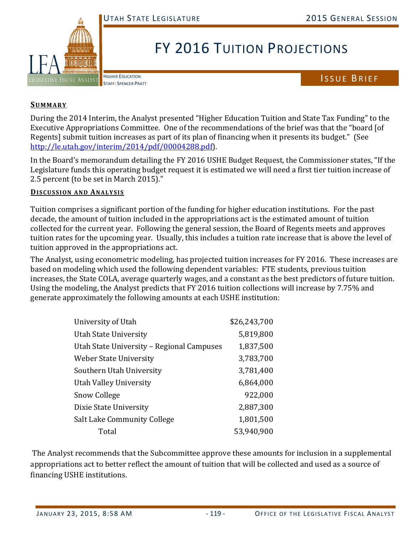

## FY 2016 TUITION PROJECTIONS

HIGHER EDUCATION

HIGHER EDUCATION<br>STAFF: SPENCER PRATT

## **SUMMARY**

During the 2014 Interim, the Analyst presented "Higher Education Tuition and State Tax Funding" to the Executive Appropriations Committee. One of the recommendations of the brief was that the "board [of Regents] submit tuition increases as part of its plan of financing when it presents its budget." (See http://le.utah.gov/interim/2014/pdf/00004288.pdf). 

In the Board's memorandum detailing the FY 2016 USHE Budget Request, the Commissioner states, "If the Legislature funds this operating budget request it is estimated we will need a first tier tuition increase of 2.5 percent (to be set in March 2015)."

## **DISCUSSION AND ANALYSIS**

Tuition comprises a significant portion of the funding for higher education institutions. For the past decade, the amount of tuition included in the appropriations act is the estimated amount of tuition collected for the current year. Following the general session, the Board of Regents meets and approves tuition rates for the upcoming year. Usually, this includes a tuition rate increase that is above the level of tuition approved in the appropriations act.

The Analyst, using econometric modeling, has projected tuition increases for FY 2016. These increases are based on modeling which used the following dependent variables: FTE students, previous tuition increases, the State COLA, average quarterly wages, and a constant as the best predictors of future tuition. Using the modeling, the Analyst predicts that FY 2016 tuition collections will increase by 7.75% and generate approximately the following amounts at each USHE institution:

| University of Utah                        | \$26,243,700 |
|-------------------------------------------|--------------|
| Utah State University                     | 5,819,800    |
| Utah State University - Regional Campuses | 1,837,500    |
| Weber State University                    | 3,783,700    |
| Southern Utah University                  | 3,781,400    |
| <b>Utah Valley University</b>             | 6,864,000    |
| <b>Snow College</b>                       | 922,000      |
| Dixie State University                    | 2,887,300    |
| Salt Lake Community College               | 1,801,500    |
| Total                                     | 53,940,900   |

The Analyst recommends that the Subcommittee approve these amounts for inclusion in a supplemental appropriations act to better reflect the amount of tuition that will be collected and used as a source of financing USHE institutions.